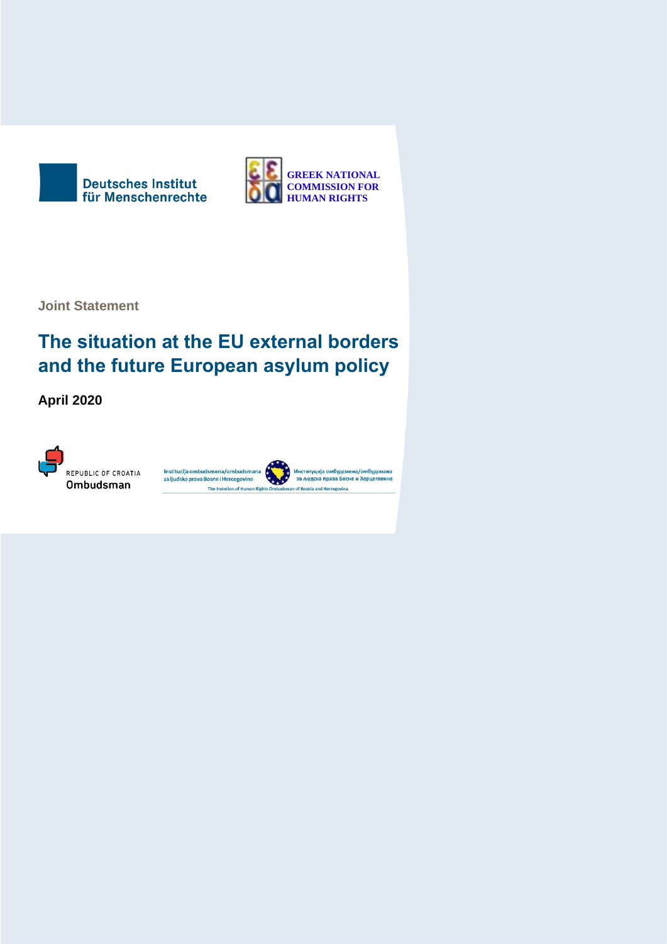



**Joint Statement**

# **The situation at the EU external borders and the future European asylum policy**

**April 2020**

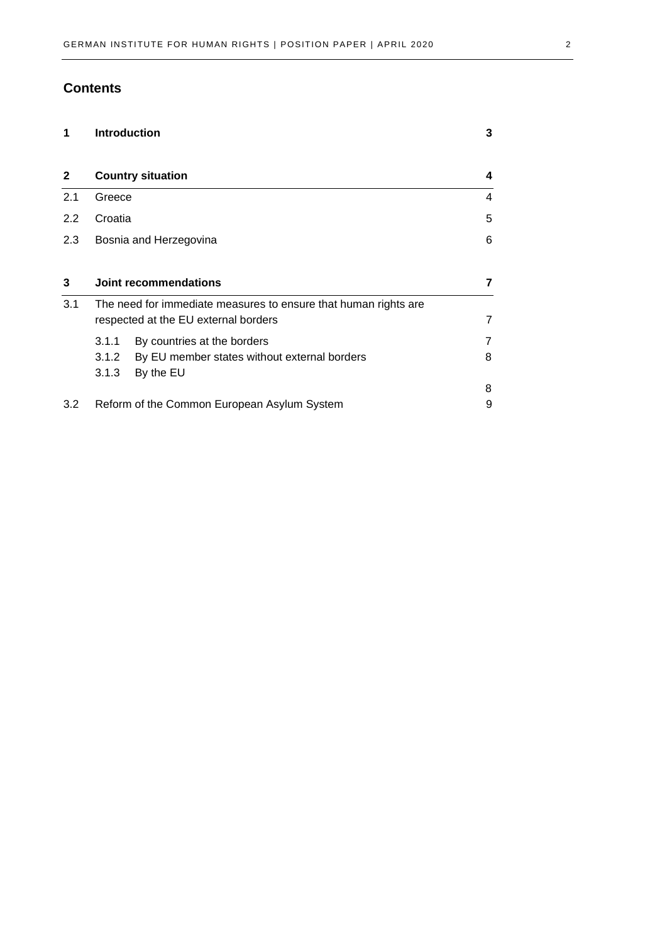## **Contents**

| 1            |                                                                                                         | <b>Introduction</b>                                       | 3 |
|--------------|---------------------------------------------------------------------------------------------------------|-----------------------------------------------------------|---|
| $\mathbf{2}$ | <b>Country situation</b>                                                                                |                                                           | 4 |
| 2.1          | Greece                                                                                                  |                                                           | 4 |
| 2.2          | Croatia                                                                                                 |                                                           | 5 |
| 2.3          |                                                                                                         | Bosnia and Herzegovina                                    | 6 |
| 3            | Joint recommendations                                                                                   |                                                           |   |
| 3.1          | The need for immediate measures to ensure that human rights are<br>respected at the EU external borders |                                                           |   |
|              | 3.1.1                                                                                                   | By countries at the borders                               |   |
|              | 3.1.2<br>3.1.3                                                                                          | By EU member states without external borders<br>By the EU | 8 |
|              |                                                                                                         |                                                           | 8 |
| 3.2          | Reform of the Common European Asylum System                                                             |                                                           | 9 |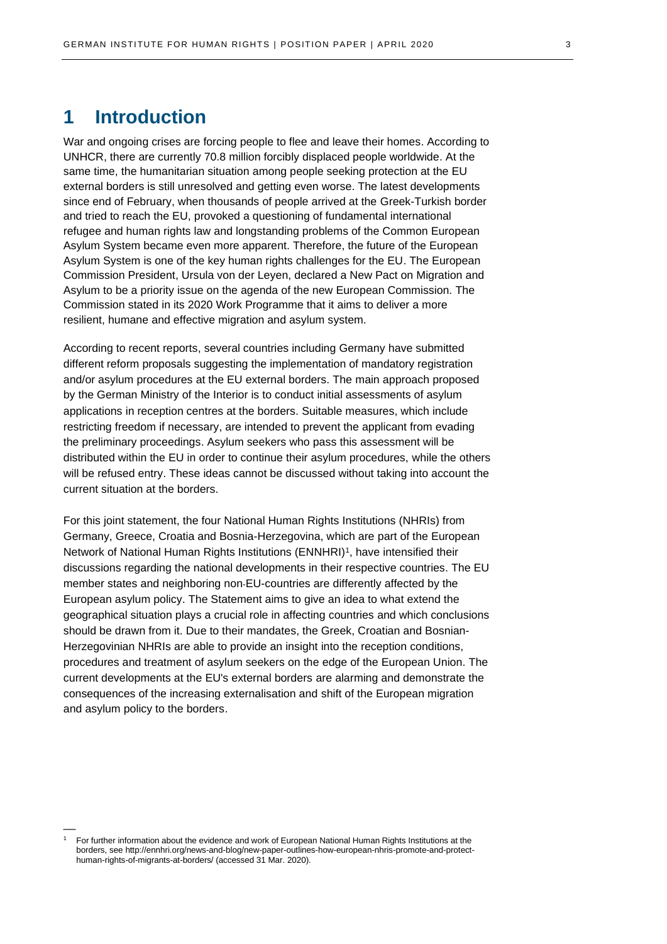## <span id="page-2-0"></span>**1 Introduction**

War and ongoing crises are forcing people to flee and leave their homes. According to UNHCR, there are currently 70.8 million forcibly displaced people worldwide. At the same time, the humanitarian situation among people seeking protection at the EU external borders is still unresolved and getting even worse. The latest developments since end of February, when thousands of people arrived at the Greek-Turkish border and tried to reach the EU, provoked a questioning of fundamental international refugee and human rights law and longstanding problems of the Common European Asylum System became even more apparent. Therefore, the future of the European Asylum System is one of the key human rights challenges for the EU. The European Commission President, Ursula von der Leyen, declared a New Pact on Migration and Asylum to be a priority issue on the agenda of the new European Commission. The Commission stated in its 2020 Work Programme that it aims to deliver a more resilient, humane and effective migration and asylum system.

According to recent reports, several countries including Germany have submitted different reform proposals suggesting the implementation of mandatory registration and/or asylum procedures at the EU external borders. The main approach proposed by the German Ministry of the Interior is to conduct initial assessments of asylum applications in reception centres at the borders. Suitable measures, which include restricting freedom if necessary, are intended to prevent the applicant from evading the preliminary proceedings. Asylum seekers who pass this assessment will be distributed within the EU in order to continue their asylum procedures, while the others will be refused entry. These ideas cannot be discussed without taking into account the current situation at the borders.

For this joint statement, the four National Human Rights Institutions (NHRIs) from Germany, Greece, Croatia and Bosnia-Herzegovina, which are part of the European Network of National Human Rights Institutions (ENNHRI)<sup>1</sup>, have intensified their discussions regarding the national developments in their respective countries. The EU member states and neighboring non-EU-countries are differently affected by the European asylum policy. The Statement aims to give an idea to what extend the geographical situation plays a crucial role in affecting countries and which conclusions should be drawn from it. Due to their mandates, the Greek, Croatian and Bosnian-Herzegovinian NHRIs are able to provide an insight into the reception conditions, procedures and treatment of asylum seekers on the edge of the European Union. The current developments at the EU's external borders are alarming and demonstrate the consequences of the increasing externalisation and shift of the European migration and asylum policy to the borders.

 $\overline{\phantom{a}}$ 

<sup>1</sup> For further information about the evidence and work of European National Human Rights Institutions at the borders, see [http://ennhri.org/news-and-blog/new-paper-outlines-how-european-nhris-promote-and-protect](http://ennhri.org/news-and-blog/new-paper-outlines-how-european-nhris-promote-and-protect-human-rights-of-migrants-at-borders/)[human-rights-of-migrants-at-borders/](http://ennhri.org/news-and-blog/new-paper-outlines-how-european-nhris-promote-and-protect-human-rights-of-migrants-at-borders/) (accessed 31 Mar. 2020).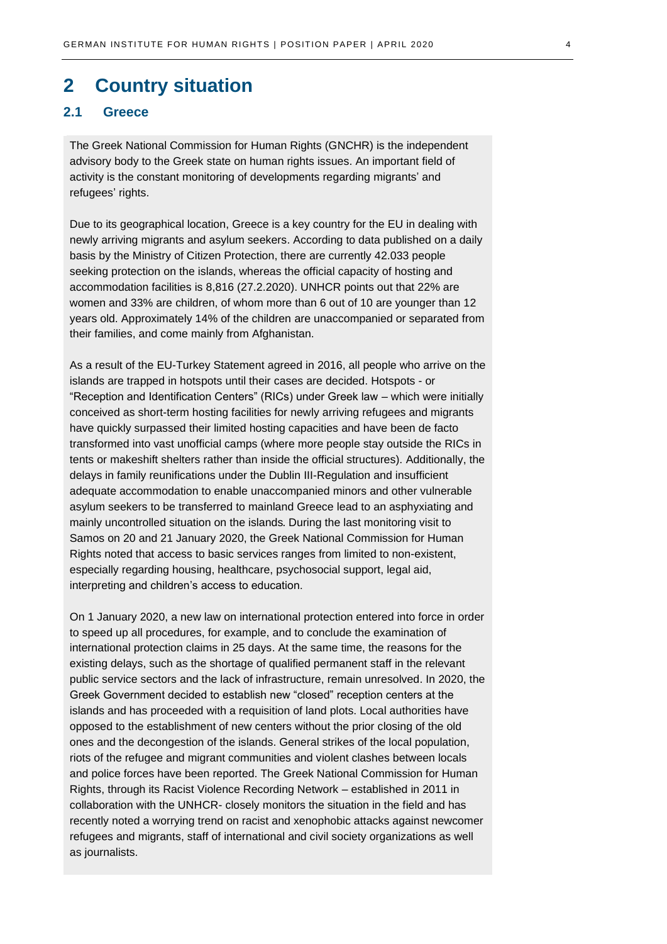## <span id="page-3-0"></span>**2 Country situation**

## <span id="page-3-1"></span>**2.1 Greece**

The Greek National Commission for Human Rights (GNCHR) is the independent advisory body to the Greek state on human rights issues. An important field of activity is the constant monitoring of developments regarding migrants' and refugees' rights.

Due to its geographical location, Greece is a key country for the EU in dealing with newly arriving migrants and asylum seekers. According to data published on a daily basis by the Ministry of Citizen Protection, there are currently 42.033 people seeking protection on the islands, whereas the official capacity of hosting and accommodation facilities is 8,816 (27.2.2020). UNHCR points out that 22% are women and 33% are children, of whom more than 6 out of 10 are younger than 12 years old. Approximately 14% of the children are unaccompanied or separated from their families, and come mainly from Afghanistan.

As a result of the EU-Turkey Statement agreed in 2016, all people who arrive on the islands are trapped in hotspots until their cases are decided. Hotspots - or "Reception and Identification Centers" (RICs) under Greek law – which were initially conceived as short-term hosting facilities for newly arriving refugees and migrants have quickly surpassed their limited hosting capacities and have been de facto transformed into vast unofficial camps (where more people stay outside the RICs in tents or makeshift shelters rather than inside the official structures). Additionally, the delays in family reunifications under the Dublin III-Regulation and insufficient adequate accommodation to enable unaccompanied minors and other vulnerable asylum seekers to be transferred to mainland Greece lead to an asphyxiating and mainly uncontrolled situation on the islands. During the last monitoring visit to Samos on 20 and 21 January 2020, the Greek National Commission for Human Rights noted that access to basic services ranges from limited to non-existent, especially regarding housing, healthcare, psychosocial support, legal aid, interpreting and children's access to education.

On 1 January 2020, a new law on international protection entered into force in order to speed up all procedures, for example, and to conclude the examination of international protection claims in 25 days. At the same time, the reasons for the existing delays, such as the shortage of qualified permanent staff in the relevant public service sectors and the lack of infrastructure, remain unresolved. In 2020, the Greek Government decided to establish new "closed" reception centers at the islands and has proceeded with a requisition of land plots. Local authorities have opposed to the establishment of new centers without the prior closing of the old ones and the decongestion of the islands. General strikes of the local population, riots of the refugee and migrant communities and violent clashes between locals and police forces have been reported. The Greek National Commission for Human Rights, through its Racist Violence Recording Network – established in 2011 in collaboration with the UNHCR- closely monitors the situation in the field and has recently noted a worrying trend on racist and xenophobic attacks against newcomer refugees and migrants, staff of international and civil society organizations as well as journalists.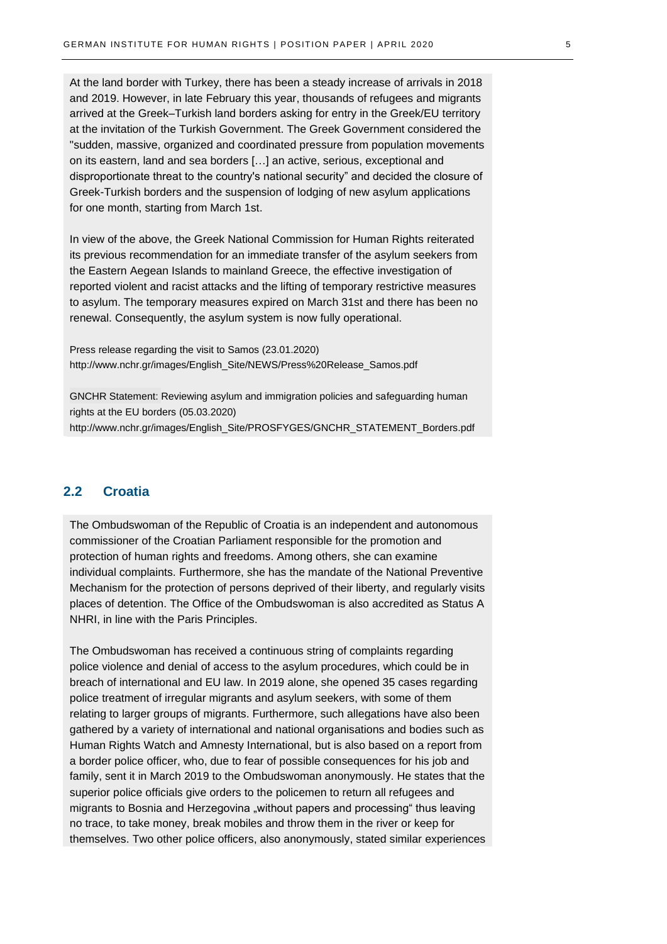At the land border with Turkey, there has been a steady increase of arrivals in 2018 and 2019. However, in late February this year, thousands of refugees and migrants arrived at the Greek–Turkish land borders asking for entry in the Greek/EU territory at the invitation of the Turkish Government. The Greek Government considered the "sudden, massive, organized and coordinated pressure from population movements on its eastern, land and sea borders […] an active, serious, exceptional and disproportionate threat to the country's national security" and decided the closure of Greek-Turkish borders and the suspension of lodging of new asylum applications for one month, starting from March 1st.

In view of the above, the Greek National Commission for Human Rights reiterated its previous recommendation for an immediate transfer of the asylum seekers from the Eastern Aegean Islands to mainland Greece, the effective investigation of reported violent and racist attacks and the lifting of temporary restrictive measures to asylum. The temporary measures expired on March 31st and there has been no renewal. Consequently, the asylum system is now fully operational.

Press release regarding the visit to Samos (23.01.2020) [http://www.nchr.gr/images/English\\_Site/NEWS/Press%20Release\\_Samos.pdf](http://www.nchr.gr/images/English_Site/NEWS/Press%20Release_Samos.pdf) 

GNCHR Statement: Reviewing asylum and immigration policies and safeguarding human rights at the EU borders (05.03.2020) [http://www.nchr.gr/images/English\\_Site/PROSFYGES/GNCHR\\_STATEMENT\\_Borders.pdf](http://www.nchr.gr/images/English_Site/PROSFYGES/GNCHR_STATEMENT_Borders.pdf)

## <span id="page-4-0"></span>**2.2 Croatia**

The Ombudswoman of the Republic of Croatia is an independent and autonomous commissioner of the Croatian Parliament responsible for the promotion and protection of human rights and freedoms. Among others, she can examine individual complaints. Furthermore, she has the mandate of the National Preventive Mechanism for the protection of persons deprived of their liberty, and regularly visits places of detention. The Office of the Ombudswoman is also accredited as Status A NHRI, in line with the Paris Principles.

The Ombudswoman has received a continuous string of complaints regarding police violence and denial of access to the asylum procedures, which could be in breach of international and EU law. In 2019 alone, she opened 35 cases regarding police treatment of irregular migrants and asylum seekers, with some of them relating to larger groups of migrants. Furthermore, such allegations have also been gathered by a variety of international and national organisations and bodies such as Human Rights Watch and Amnesty International, but is also based on a report from a border police officer, who, due to fear of possible consequences for his job and family, sent it in March 2019 to the Ombudswoman anonymously. He states that the superior police officials give orders to the policemen to return all refugees and migrants to Bosnia and Herzegovina "without papers and processing" thus leaving no trace, to take money, break mobiles and throw them in the river or keep for themselves. Two other police officers, also anonymously, stated similar experiences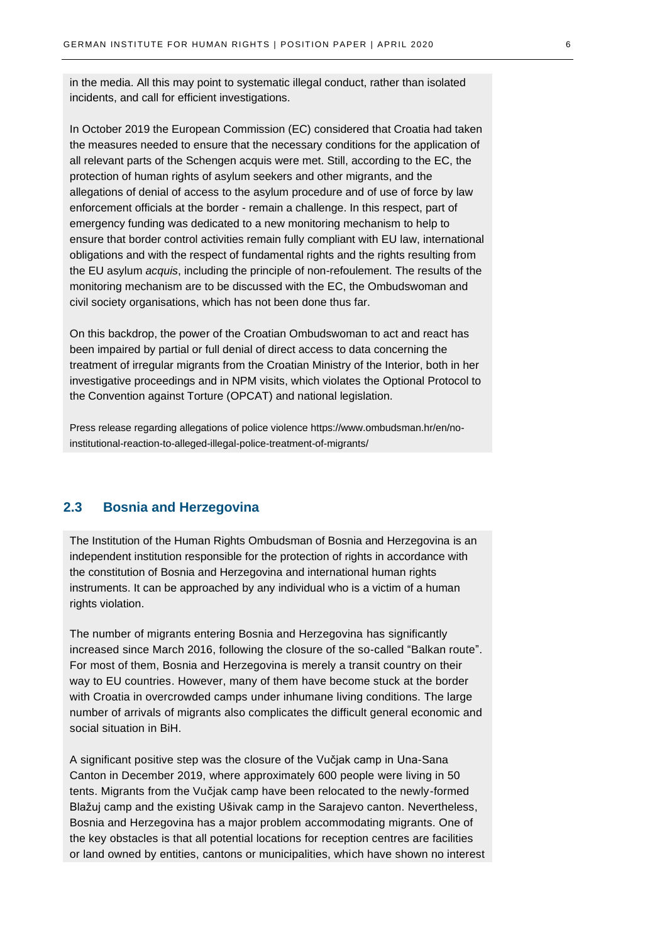in the media. All this may point to systematic illegal conduct, rather than isolated incidents, and call for efficient investigations.

In October 2019 the European Commission (EC) considered that Croatia had taken the measures needed to ensure that the necessary conditions for the application of all relevant parts of the Schengen acquis were met. Still, according to the EC, the protection of human rights of asylum seekers and other migrants, and the allegations of denial of access to the asylum procedure and of use of force by law enforcement officials at the border - remain a challenge. In this respect, part of emergency funding was dedicated to a new monitoring mechanism to help to ensure that border control activities remain fully compliant with EU law, international obligations and with the respect of fundamental rights and the rights resulting from the EU asylum *acquis*, including the principle of non-refoulement. The results of the monitoring mechanism are to be discussed with the EC, the Ombudswoman and civil society organisations, which has not been done thus far.

On this backdrop, the power of the Croatian Ombudswoman to act and react has been impaired by partial or full denial of direct access to data concerning the treatment of irregular migrants from the Croatian Ministry of the Interior, both in her investigative proceedings and in NPM visits, which violates the Optional Protocol to the Convention against Torture (OPCAT) and national legislation.

Press release regarding allegations of police violence https://www.ombudsman.hr/en/noinstitutional-reaction-to-alleged-illegal-police-treatment-of-migrants/

## <span id="page-5-0"></span>**2.3 Bosnia and Herzegovina**

The Institution of the Human Rights Ombudsman of Bosnia and Herzegovina is an independent institution responsible for the protection of rights in accordance with the constitution of Bosnia and Herzegovina and international human rights instruments. It can be approached by any individual who is a victim of a human rights violation.

The number of migrants entering Bosnia and Herzegovina has significantly increased since March 2016, following the closure of the so-called "Balkan route". For most of them, Bosnia and Herzegovina is merely a transit country on their way to EU countries. However, many of them have become stuck at the border with Croatia in overcrowded camps under inhumane living conditions. The large number of arrivals of migrants also complicates the difficult general economic and social situation in BiH.

A significant positive step was the closure of the Vučjak camp in Una-Sana Canton in December 2019, where approximately 600 people were living in 50 tents. Migrants from the Vučjak camp have been relocated to the newly-formed Blažuj camp and the existing Ušivak camp in the Sarajevo canton. Nevertheless, Bosnia and Herzegovina has a major problem accommodating migrants. One of the key obstacles is that all potential locations for reception centres are facilities or land owned by entities, cantons or municipalities, which have shown no interest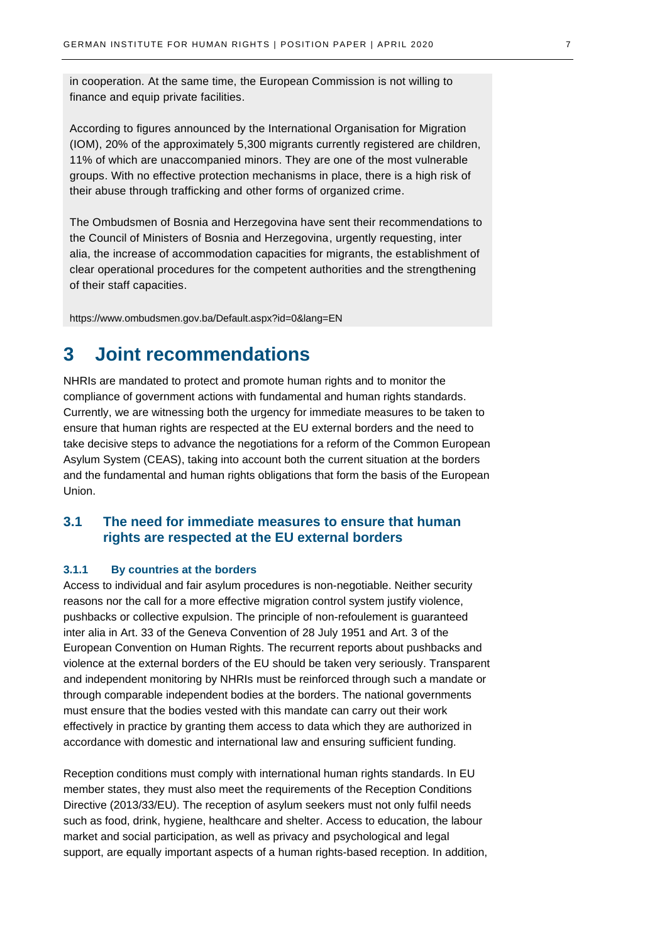in cooperation. At the same time, the European Commission is not willing to finance and equip private facilities.

According to figures announced by the International Organisation for Migration (IOM), 20% of the approximately 5,300 migrants currently registered are children, 11% of which are unaccompanied minors. They are one of the most vulnerable groups. With no effective protection mechanisms in place, there is a high risk of their abuse through trafficking and other forms of organized crime.

The Ombudsmen of Bosnia and Herzegovina have sent their recommendations to the Council of Ministers of Bosnia and Herzegovina, urgently requesting, inter alia, the increase of accommodation capacities for migrants, the establishment of clear operational procedures for the competent authorities and the strengthening of their staff capacities.

<https://www.ombudsmen.gov.ba/Default.aspx?id=0&lang=EN>

## <span id="page-6-0"></span>**3 Joint recommendations**

NHRIs are mandated to protect and promote human rights and to monitor the compliance of government actions with fundamental and human rights standards. Currently, we are witnessing both the urgency for immediate measures to be taken to ensure that human rights are respected at the EU external borders and the need to take decisive steps to advance the negotiations for a reform of the Common European Asylum System (CEAS), taking into account both the current situation at the borders and the fundamental and human rights obligations that form the basis of the European Union.

## <span id="page-6-1"></span>**3.1 The need for immediate measures to ensure that human rights are respected at the EU external borders**

### <span id="page-6-2"></span>**3.1.1 By countries at the borders**

Access to individual and fair asylum procedures is non-negotiable. Neither security reasons nor the call for a more effective migration control system justify violence, pushbacks or collective expulsion. The principle of non-refoulement is guaranteed inter alia in Art. 33 of the Geneva Convention of 28 July 1951 and Art. 3 of the European Convention on Human Rights. The recurrent reports about pushbacks and violence at the external borders of the EU should be taken very seriously. Transparent and independent monitoring by NHRIs must be reinforced through such a mandate or through comparable independent bodies at the borders. The national governments must ensure that the bodies vested with this mandate can carry out their work effectively in practice by granting them access to data which they are authorized in accordance with domestic and international law and ensuring sufficient funding.

Reception conditions must comply with international human rights standards. In EU member states, they must also meet the requirements of the Reception Conditions Directive (2013/33/EU). The reception of asylum seekers must not only fulfil needs such as food, drink, hygiene, healthcare and shelter. Access to education, the labour market and social participation, as well as privacy and psychological and legal support, are equally important aspects of a human rights-based reception. In addition,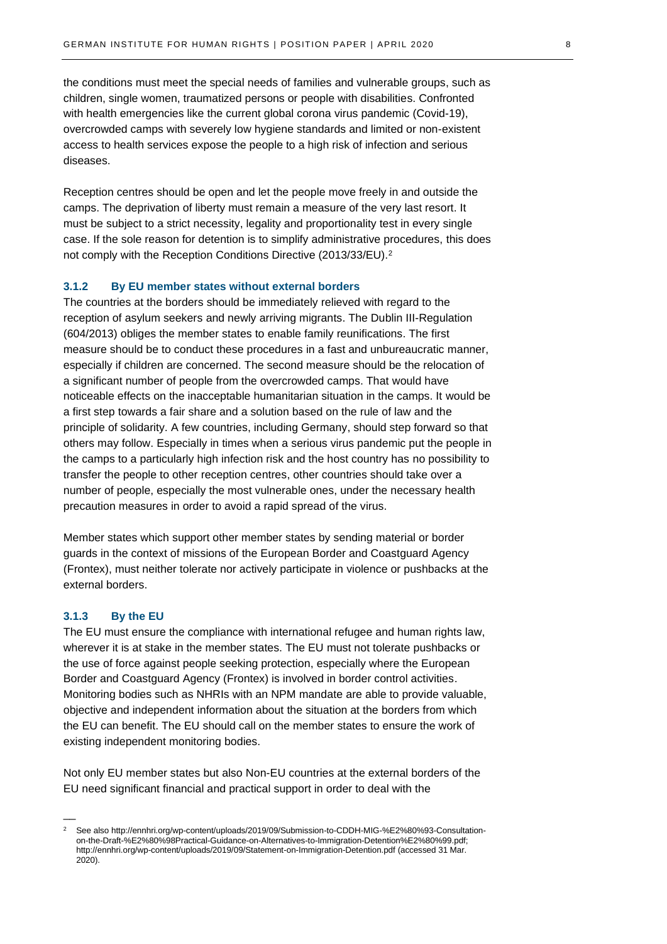the conditions must meet the special needs of families and vulnerable groups, such as children, single women, traumatized persons or people with disabilities. Confronted with health emergencies like the current global corona virus pandemic (Covid-19), overcrowded camps with severely low hygiene standards and limited or non-existent access to health services expose the people to a high risk of infection and serious diseases.

Reception centres should be open and let the people move freely in and outside the camps. The deprivation of liberty must remain a measure of the very last resort. It must be subject to a strict necessity, legality and proportionality test in every single case. If the sole reason for detention is to simplify administrative procedures, this does not comply with the Reception Conditions Directive (2013/33/EU).<sup>2</sup>

#### <span id="page-7-0"></span>**3.1.2 By EU member states without external borders**

The countries at the borders should be immediately relieved with regard to the reception of asylum seekers and newly arriving migrants. The Dublin III-Regulation (604/2013) obliges the member states to enable family reunifications. The first measure should be to conduct these procedures in a fast and unbureaucratic manner, especially if children are concerned. The second measure should be the relocation of a significant number of people from the overcrowded camps. That would have noticeable effects on the inacceptable humanitarian situation in the camps. It would be a first step towards a fair share and a solution based on the rule of law and the principle of solidarity. A few countries, including Germany, should step forward so that others may follow. Especially in times when a serious virus pandemic put the people in the camps to a particularly high infection risk and the host country has no possibility to transfer the people to other reception centres, other countries should take over a number of people, especially the most vulnerable ones, under the necessary health precaution measures in order to avoid a rapid spread of the virus.

Member states which support other member states by sending material or border guards in the context of missions of the European Border and Coastguard Agency (Frontex), must neither tolerate nor actively participate in violence or pushbacks at the external borders.

#### <span id="page-7-1"></span>**3.1.3 By the EU**

 $\overline{\phantom{a}}$ 

The EU must ensure the compliance with international refugee and human rights law, wherever it is at stake in the member states. The EU must not tolerate pushbacks or the use of force against people seeking protection, especially where the European Border and Coastguard Agency (Frontex) is involved in border control activities. Monitoring bodies such as NHRIs with an NPM mandate are able to provide valuable, objective and independent information about the situation at the borders from which the EU can benefit. The EU should call on the member states to ensure the work of existing independent monitoring bodies.

Not only EU member states but also Non-EU countries at the external borders of the EU need significant financial and practical support in order to deal with the

<sup>2</sup> See als[o http://ennhri.org/wp-content/uploads/2019/09/Submission-to-CDDH-MIG-%E2%80%93-Consultation](http://ennhri.org/wp-content/uploads/2019/09/Submission-to-CDDH-MIG-%E2%80%93-Consultation-on-the-Draft-%E2%80%98Practical-Guidance-on-Alternatives-to-Immigration-Detention%E2%80%99.pdf)[on-the-Draft-%E2%80%98Practical-Guidance-on-Alternatives-to-Immigration-Detention%E2%80%99.pdf;](http://ennhri.org/wp-content/uploads/2019/09/Submission-to-CDDH-MIG-%E2%80%93-Consultation-on-the-Draft-%E2%80%98Practical-Guidance-on-Alternatives-to-Immigration-Detention%E2%80%99.pdf) <http://ennhri.org/wp-content/uploads/2019/09/Statement-on-Immigration-Detention.pdf> (accessed 31 Mar. 2020).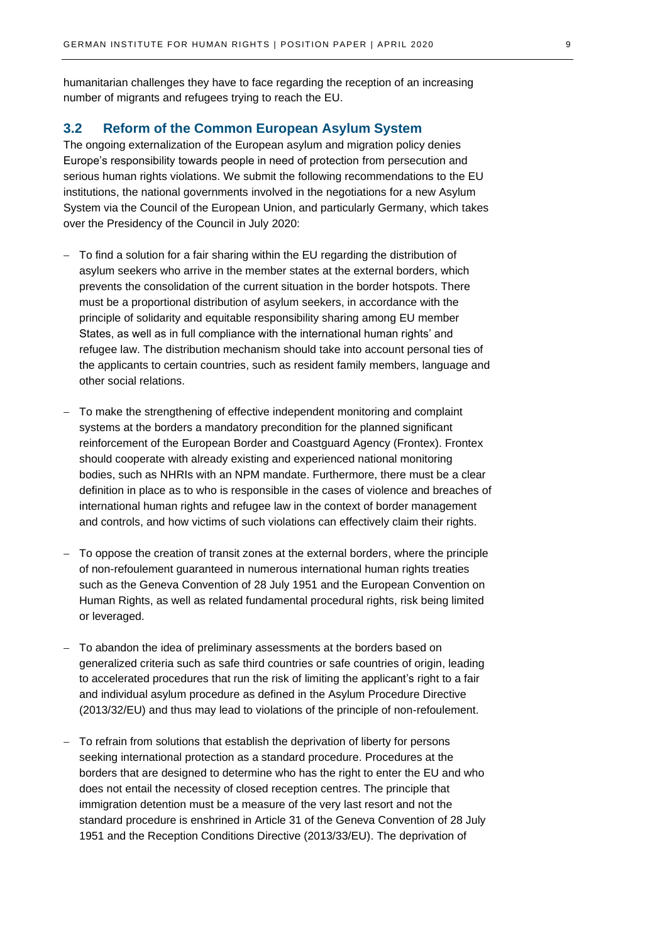humanitarian challenges they have to face regarding the reception of an increasing number of migrants and refugees trying to reach the EU.

### <span id="page-8-0"></span>**3.2 Reform of the Common European Asylum System**

The ongoing externalization of the European asylum and migration policy denies Europe's responsibility towards people in need of protection from persecution and serious human rights violations. We submit the following recommendations to the EU institutions, the national governments involved in the negotiations for a new Asylum System via the Council of the European Union, and particularly Germany, which takes over the Presidency of the Council in July 2020:

- − To find a solution for a fair sharing within the EU regarding the distribution of asylum seekers who arrive in the member states at the external borders, which prevents the consolidation of the current situation in the border hotspots. There must be a proportional distribution of asylum seekers, in accordance with the principle of solidarity and equitable responsibility sharing among EU member States, as well as in full compliance with the international human rights' and refugee law. The distribution mechanism should take into account personal ties of the applicants to certain countries, such as resident family members, language and other social relations.
- To make the strengthening of effective independent monitoring and complaint systems at the borders a mandatory precondition for the planned significant reinforcement of the European Border and Coastguard Agency (Frontex). Frontex should cooperate with already existing and experienced national monitoring bodies, such as NHRIs with an NPM mandate. Furthermore, there must be a clear definition in place as to who is responsible in the cases of violence and breaches of international human rights and refugee law in the context of border management and controls, and how victims of such violations can effectively claim their rights.
- − To oppose the creation of transit zones at the external borders, where the principle of non-refoulement guaranteed in numerous international human rights treaties such as the Geneva Convention of 28 July 1951 and the European Convention on Human Rights, as well as related fundamental procedural rights, risk being limited or leveraged.
- − To abandon the idea of preliminary assessments at the borders based on generalized criteria such as safe third countries or safe countries of origin, leading to accelerated procedures that run the risk of limiting the applicant's right to a fair and individual asylum procedure as defined in the Asylum Procedure Directive (2013/32/EU) and thus may lead to violations of the principle of non-refoulement.
- − To refrain from solutions that establish the deprivation of liberty for persons seeking international protection as a standard procedure. Procedures at the borders that are designed to determine who has the right to enter the EU and who does not entail the necessity of closed reception centres. The principle that immigration detention must be a measure of the very last resort and not the standard procedure is enshrined in Article 31 of the Geneva Convention of 28 July 1951 and the Reception Conditions Directive (2013/33/EU). The deprivation of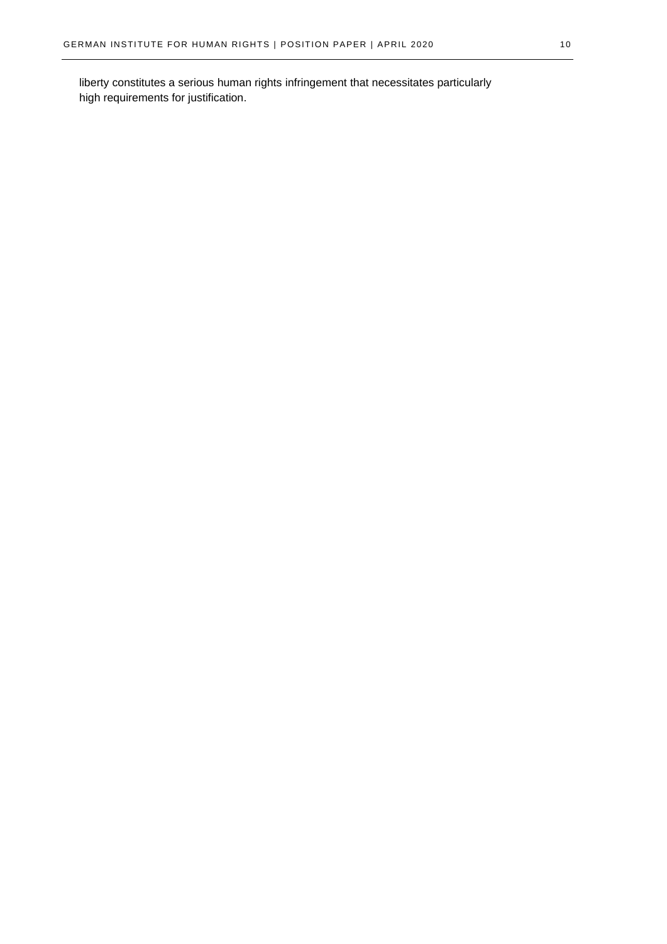liberty constitutes a serious human rights infringement that necessitates particularly high requirements for justification.